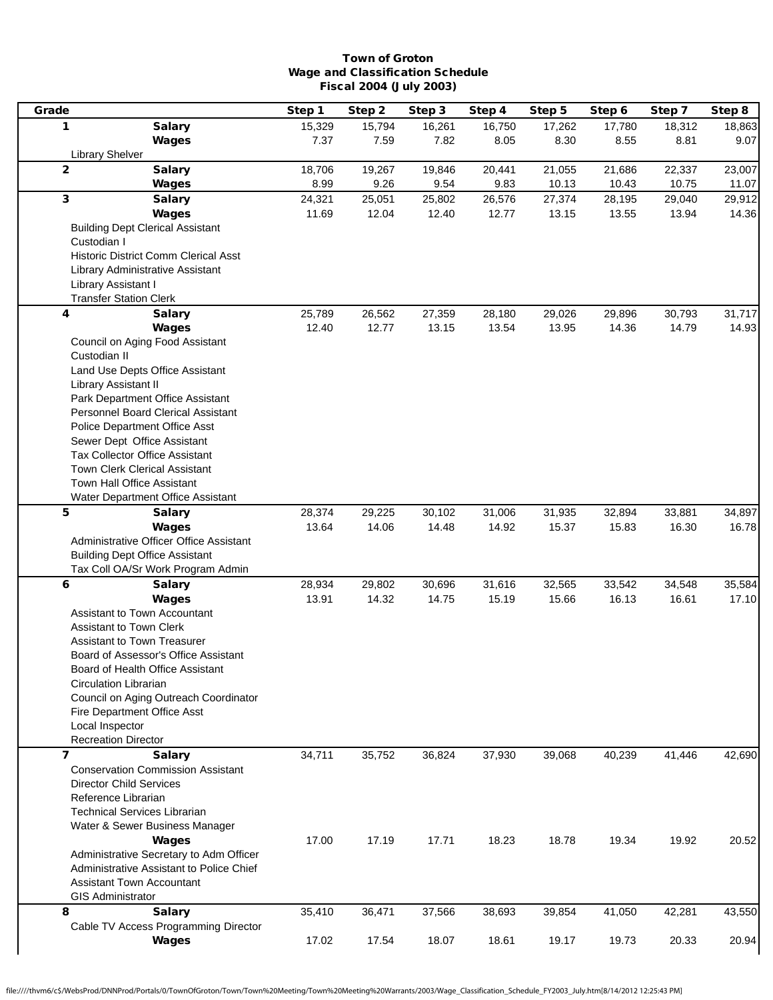## Town of Groton Wage and Classification Schedule Fiscal 2004 (July 2003)

| Grade                   |                                                           | Step 1 | Step 2 | Step 3 | Step 4 | Step 5 | Step 6 | Step 7 | Step 8 |
|-------------------------|-----------------------------------------------------------|--------|--------|--------|--------|--------|--------|--------|--------|
| 1                       | <b>Salary</b>                                             | 15,329 | 15,794 | 16,261 | 16,750 | 17,262 | 17,780 | 18,312 | 18,863 |
|                         | Wages                                                     | 7.37   | 7.59   | 7.82   | 8.05   | 8.30   | 8.55   | 8.81   | 9.07   |
|                         | <b>Library Shelver</b>                                    |        |        |        |        |        |        |        |        |
| $\overline{2}$          | <b>Salary</b>                                             | 18,706 | 19,267 | 19,846 | 20,441 | 21,055 | 21,686 | 22,337 | 23,007 |
|                         | Wages                                                     | 8.99   | 9.26   | 9.54   | 9.83   | 10.13  | 10.43  | 10.75  | 11.07  |
| $\mathbf{3}$            | <b>Salary</b>                                             | 24,321 | 25,051 | 25,802 | 26,576 | 27,374 | 28,195 | 29,040 | 29,912 |
|                         | Wages                                                     | 11.69  | 12.04  | 12.40  | 12.77  | 13.15  | 13.55  | 13.94  | 14.36  |
|                         | <b>Building Dept Clerical Assistant</b>                   |        |        |        |        |        |        |        |        |
| Custodian I             |                                                           |        |        |        |        |        |        |        |        |
|                         | <b>Historic District Comm Clerical Asst</b>               |        |        |        |        |        |        |        |        |
|                         | Library Administrative Assistant                          |        |        |        |        |        |        |        |        |
|                         | Library Assistant I                                       |        |        |        |        |        |        |        |        |
|                         | <b>Transfer Station Clerk</b>                             |        |        |        |        |        |        |        |        |
| 4                       | <b>Salary</b>                                             | 25,789 | 26,562 | 27,359 | 28,180 | 29,026 | 29,896 | 30,793 | 31,717 |
|                         | Wages                                                     | 12.40  | 12.77  | 13.15  | 13.54  | 13.95  | 14.36  | 14.79  | 14.93  |
|                         | Council on Aging Food Assistant                           |        |        |        |        |        |        |        |        |
| Custodian II            |                                                           |        |        |        |        |        |        |        |        |
|                         | Land Use Depts Office Assistant                           |        |        |        |        |        |        |        |        |
|                         | Library Assistant II<br>Park Department Office Assistant  |        |        |        |        |        |        |        |        |
|                         | Personnel Board Clerical Assistant                        |        |        |        |        |        |        |        |        |
|                         | Police Department Office Asst                             |        |        |        |        |        |        |        |        |
|                         | Sewer Dept Office Assistant                               |        |        |        |        |        |        |        |        |
|                         | <b>Tax Collector Office Assistant</b>                     |        |        |        |        |        |        |        |        |
|                         | <b>Town Clerk Clerical Assistant</b>                      |        |        |        |        |        |        |        |        |
|                         | Town Hall Office Assistant                                |        |        |        |        |        |        |        |        |
|                         | Water Department Office Assistant                         |        |        |        |        |        |        |        |        |
| 5                       | <b>Salary</b>                                             | 28,374 | 29,225 | 30,102 | 31,006 | 31,935 | 32,894 | 33,881 | 34,897 |
|                         | Wages                                                     | 13.64  | 14.06  | 14.48  | 14.92  | 15.37  | 15.83  | 16.30  | 16.78  |
|                         | Administrative Officer Office Assistant                   |        |        |        |        |        |        |        |        |
|                         | <b>Building Dept Office Assistant</b>                     |        |        |        |        |        |        |        |        |
|                         | Tax Coll OA/Sr Work Program Admin                         |        |        |        |        |        |        |        |        |
| 6                       | <b>Salary</b>                                             | 28,934 | 29,802 | 30,696 | 31,616 | 32,565 | 33,542 | 34,548 | 35,584 |
|                         | Wages                                                     | 13.91  | 14.32  | 14.75  | 15.19  | 15.66  | 16.13  | 16.61  | 17.10  |
|                         | Assistant to Town Accountant                              |        |        |        |        |        |        |        |        |
|                         | <b>Assistant to Town Clerk</b>                            |        |        |        |        |        |        |        |        |
|                         | Assistant to Town Treasurer                               |        |        |        |        |        |        |        |        |
|                         | Board of Assessor's Office Assistant                      |        |        |        |        |        |        |        |        |
|                         | Board of Health Office Assistant                          |        |        |        |        |        |        |        |        |
|                         | Circulation Librarian                                     |        |        |        |        |        |        |        |        |
|                         | Council on Aging Outreach Coordinator                     |        |        |        |        |        |        |        |        |
|                         | Fire Department Office Asst<br>Local Inspector            |        |        |        |        |        |        |        |        |
|                         | <b>Recreation Director</b>                                |        |        |        |        |        |        |        |        |
| $\overline{\mathbf{z}}$ |                                                           | 34,711 | 35,752 | 36,824 | 37,930 | 39,068 | 40,239 |        |        |
|                         | <b>Salary</b><br><b>Conservation Commission Assistant</b> |        |        |        |        |        |        | 41,446 | 42,690 |
|                         | <b>Director Child Services</b>                            |        |        |        |        |        |        |        |        |
|                         | Reference Librarian                                       |        |        |        |        |        |        |        |        |
|                         | <b>Technical Services Librarian</b>                       |        |        |        |        |        |        |        |        |
|                         | Water & Sewer Business Manager                            |        |        |        |        |        |        |        |        |
|                         | <b>Wages</b>                                              | 17.00  | 17.19  | 17.71  | 18.23  | 18.78  | 19.34  | 19.92  | 20.52  |
|                         | Administrative Secretary to Adm Officer                   |        |        |        |        |        |        |        |        |
|                         | Administrative Assistant to Police Chief                  |        |        |        |        |        |        |        |        |
|                         | <b>Assistant Town Accountant</b>                          |        |        |        |        |        |        |        |        |
|                         | <b>GIS Administrator</b>                                  |        |        |        |        |        |        |        |        |
| 8                       | <b>Salary</b>                                             | 35,410 | 36,471 | 37,566 | 38,693 | 39,854 | 41,050 | 42,281 | 43,550 |
|                         | Cable TV Access Programming Director                      |        |        |        |        |        |        |        |        |
|                         | <b>Wages</b>                                              | 17.02  | 17.54  | 18.07  | 18.61  | 19.17  | 19.73  | 20.33  | 20.94  |
|                         |                                                           |        |        |        |        |        |        |        |        |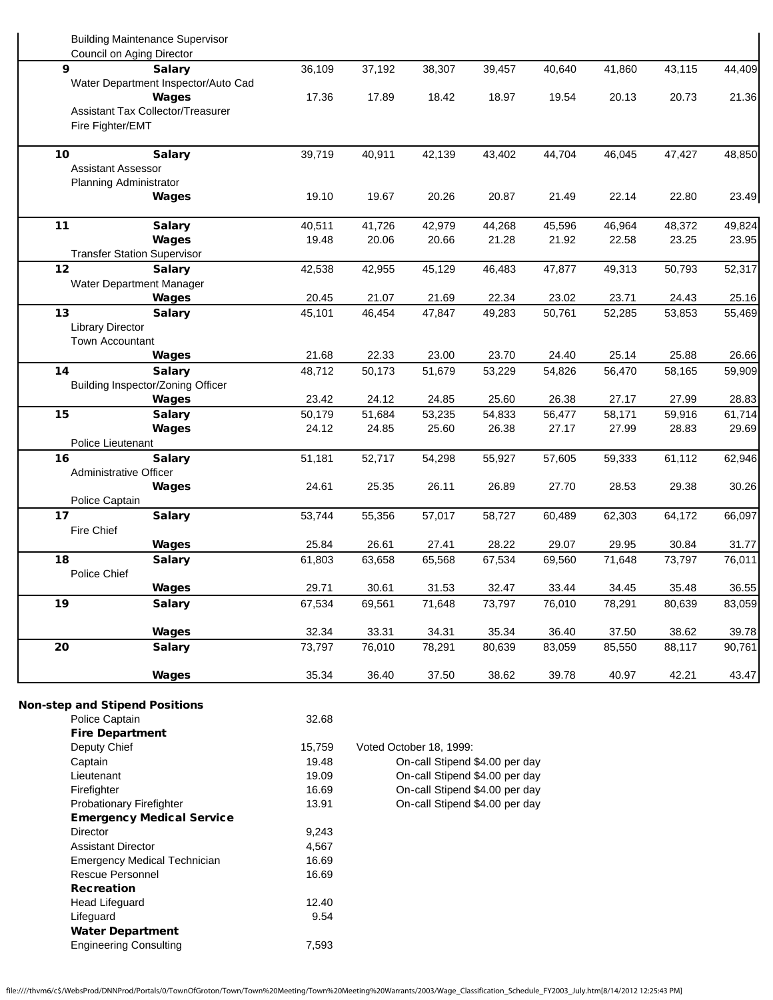| <b>Building Maintenance Supervisor</b><br>Council on Aging Director |        |        |        |        |        |        |        |        |
|---------------------------------------------------------------------|--------|--------|--------|--------|--------|--------|--------|--------|
| 9<br><b>Salary</b>                                                  | 36,109 | 37,192 | 38,307 | 39,457 | 40,640 | 41,860 | 43,115 | 44,409 |
| Water Department Inspector/Auto Cad                                 |        |        |        |        |        |        |        |        |
| Wages                                                               | 17.36  | 17.89  | 18.42  | 18.97  | 19.54  | 20.13  | 20.73  | 21.36  |
| Assistant Tax Collector/Treasurer                                   |        |        |        |        |        |        |        |        |
| Fire Fighter/EMT                                                    |        |        |        |        |        |        |        |        |
| 10<br><b>Salary</b>                                                 | 39,719 | 40,911 | 42,139 | 43,402 | 44,704 | 46,045 | 47,427 | 48,850 |
| <b>Assistant Assessor</b>                                           |        |        |        |        |        |        |        |        |
| Planning Administrator                                              |        |        |        |        |        |        |        |        |
| Wages                                                               | 19.10  | 19.67  | 20.26  | 20.87  | 21.49  | 22.14  | 22.80  | 23.49  |
|                                                                     |        |        |        |        |        |        |        |        |
| 11<br><b>Salary</b>                                                 | 40,511 | 41,726 | 42,979 | 44,268 | 45,596 | 46,964 | 48,372 | 49,824 |
| Wages                                                               | 19.48  | 20.06  | 20.66  | 21.28  | 21.92  | 22.58  | 23.25  | 23.95  |
| <b>Transfer Station Supervisor</b>                                  |        |        |        |        |        |        |        |        |
| 12<br><b>Salary</b>                                                 | 42,538 | 42,955 | 45,129 | 46,483 | 47,877 | 49,313 | 50,793 | 52,317 |
| Water Department Manager                                            |        |        |        |        |        |        |        |        |
| Wages                                                               | 20.45  | 21.07  | 21.69  | 22.34  | 23.02  | 23.71  | 24.43  | 25.16  |
| 13<br><b>Salary</b>                                                 | 45,101 | 46,454 | 47,847 | 49,283 | 50,761 | 52,285 | 53,853 | 55,469 |
| <b>Library Director</b><br>Town Accountant                          |        |        |        |        |        |        |        |        |
| Wages                                                               | 21.68  | 22.33  | 23.00  | 23.70  | 24.40  | 25.14  | 25.88  | 26.66  |
| 14<br><b>Salary</b>                                                 | 48,712 | 50,173 | 51,679 | 53,229 | 54,826 | 56,470 | 58,165 | 59,909 |
| Building Inspector/Zoning Officer                                   |        |        |        |        |        |        |        |        |
| Wages                                                               | 23.42  | 24.12  | 24.85  | 25.60  | 26.38  | 27.17  | 27.99  | 28.83  |
| 15<br><b>Salary</b>                                                 | 50,179 | 51,684 | 53,235 | 54,833 | 56,477 | 58,171 | 59,916 | 61,714 |
| Wages                                                               | 24.12  | 24.85  | 25.60  | 26.38  | 27.17  | 27.99  | 28.83  | 29.69  |
| Police Lieutenant                                                   |        |        |        |        |        |        |        |        |
| 16<br><b>Salary</b>                                                 | 51,181 | 52,717 | 54,298 | 55,927 | 57,605 | 59,333 | 61,112 | 62,946 |
| Administrative Officer                                              |        |        |        |        |        |        |        |        |
| Wages                                                               | 24.61  | 25.35  | 26.11  | 26.89  | 27.70  | 28.53  | 29.38  | 30.26  |
| Police Captain                                                      |        |        |        |        |        |        |        |        |
| 17<br><b>Salary</b>                                                 | 53,744 | 55,356 | 57,017 | 58,727 | 60,489 | 62,303 | 64,172 | 66,097 |
| <b>Fire Chief</b>                                                   |        |        |        |        |        |        |        |        |
| Wages                                                               | 25.84  | 26.61  | 27.41  | 28.22  | 29.07  | 29.95  | 30.84  | 31.77  |
| 18<br><b>Salary</b>                                                 | 61,803 | 63,658 | 65,568 | 67,534 | 69,560 | 71,648 | 73,797 | 76,011 |
| Police Chief                                                        |        |        |        |        |        |        |        |        |
| Wages                                                               | 29.71  | 30.61  | 31.53  | 32.47  | 33.44  | 34.45  | 35.48  | 36.55  |
| 19<br><b>Salary</b>                                                 | 67,534 | 69,561 | 71,648 | 73,797 | 76,010 | 78,291 | 80,639 | 83,059 |
| <b>Wages</b>                                                        | 32.34  | 33.31  | 34.31  | 35.34  | 36.40  | 37.50  | 38.62  | 39.78  |
| 20<br><b>Salary</b>                                                 | 73,797 | 76,010 | 78,291 | 80,639 | 83,059 | 85,550 | 88,117 | 90,761 |
|                                                                     |        |        |        | 38.62  | 39.78  |        | 42.21  | 43.47  |

| Deputy Chief                        | 15,759 | Voted October 18, 1999:        |
|-------------------------------------|--------|--------------------------------|
| Captain                             | 19.48  | On-call Stipend \$4.00 per day |
| Lieutenant                          | 19.09  | On-call Stipend \$4.00 per day |
| Firefighter                         | 16.69  | On-call Stipend \$4.00 per day |
| <b>Probationary Firefighter</b>     | 13.91  | On-call Stipend \$4.00 per day |
| <b>Emergency Medical Service</b>    |        |                                |
| Director                            | 9,243  |                                |
| <b>Assistant Director</b>           | 4.567  |                                |
| <b>Emergency Medical Technician</b> | 16.69  |                                |
| Rescue Personnel                    | 16.69  |                                |
| <b>Recreation</b>                   |        |                                |
| Head Lifeguard                      | 12.40  |                                |
| Lifequard                           | 9.54   |                                |
| <b>Water Department</b>             |        |                                |
| <b>Engineering Consulting</b>       | 7,593  |                                |
|                                     |        |                                |